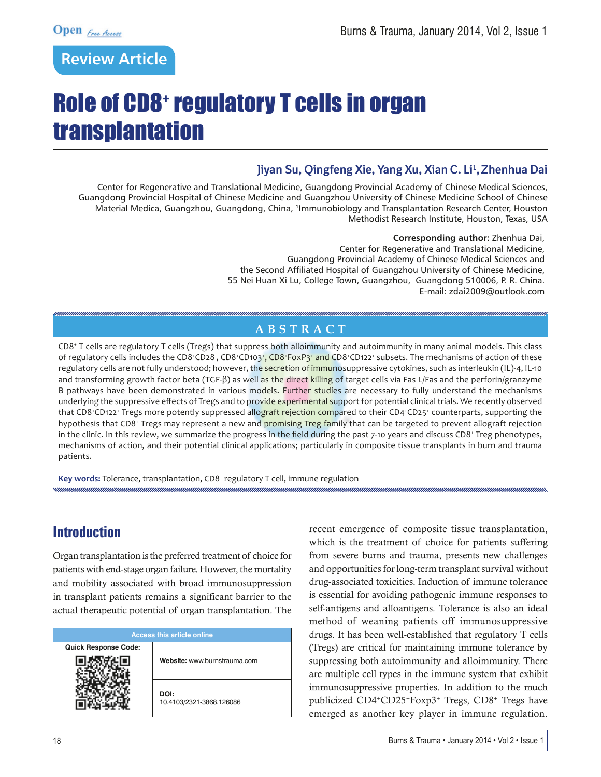# **Review Article**

# Role of CD8+ regulatory T cells in organ transplantation

#### Jiyan Su, Qingfeng Xie, Yang Xu, Xian C. Li<sup>1</sup>, Zhenhua Dai

Center for Regenerative and Translational Medicine, Guangdong Provincial Academy of Chinese Medical Sciences, Guangdong Provincial Hospital of Chinese Medicine and Guangzhou University of Chinese Medicine School of Chinese Material Medica, Guangzhou, Guangdong, China, 1Immunobiology and Transplantation Research Center, Houston Methodist Research Institute, Houston, Texas, USA

> **Corresponding author:** Zhenhua Dai, Center for Regenerative and Translational Medicine, Guangdong Provincial Academy of Chinese Medical Sciences and the Second Affiliated Hospital of Guangzhou University of Chinese Medicine, 55 Nei Huan Xi Lu, College Town, Guangzhou, Guangdong 510006, P. R. China. E-mail: zdai2009@outlook.com

#### **ABSTRACT**

CD8+ T cells are regulatory T cells (Tregs) that suppress both alloimmunity and autoimmunity in many animal models. This class of regulatory cells includes the CD8<sup>+</sup>CD28, CD8<sup>+</sup>CD103<sup>+</sup>, CD8<sup>+</sup>FoxP3<sup>+</sup> and CD8<sup>+</sup>CD122<sup>+</sup> subsets. The mechanisms of action of these regulatory cells are not fully understood; however, the secretion of immunosuppressive cytokines, such as interleukin (IL)-4, IL-10 and transforming growth factor beta (TGF-β) as well as the direct killing of target cells via Fas L/Fas and the perforin/granzyme B pathways have been demonstrated in various models. Further studies are necessary to fully understand the mechanisms underlying the suppressive effects of Tregs and to provide experimental support for potential clinical trials. We recently observed that CD8<sup>+</sup>CD122<sup>+</sup> Tregs more potently suppressed allograft rejection compared to their CD4+CD25+ counterparts, supporting the hypothesis that CD8<sup>+</sup> Tregs may represent a new and promising Treg family that can be targeted to prevent allograft rejection in the clinic. In this review, we summarize the progress in the field during the past 7-10 years and discuss CD8+ Treg phenotypes, mechanisms of action, and their potential clinical applications; particularly in composite tissue transplants in burn and trauma patients.

**Key words:** Tolerance, transplantation, CD8<sup>+</sup> regulatory T cell, immune regulation

## **Introduction**

Organ transplantation is the preferred treatment of choice for patients with end-stage organ failure. However, the mortality and mobility associated with broad immunosuppression in transplant patients remains a significant barrier to the actual therapeutic potential of organ transplantation. The

| <b>Access this article online</b> |                                  |  |  |  |
|-----------------------------------|----------------------------------|--|--|--|
| <b>Quick Response Code:</b>       |                                  |  |  |  |
|                                   | Website: www.burnstrauma.com     |  |  |  |
|                                   | DOI:<br>10.4103/2321-3868.126086 |  |  |  |

recent emergence of composite tissue transplantation, which is the treatment of choice for patients suffering from severe burns and trauma, presents new challenges and opportunities for long-term transplant survival without drug-associated toxicities. Induction of immune tolerance is essential for avoiding pathogenic immune responses to self-antigens and alloantigens. Tolerance is also an ideal method of weaning patients off immunosuppressive drugs. It has been well-established that regulatory T cells (Tregs) are critical for maintaining immune tolerance by suppressing both autoimmunity and alloimmunity. There are multiple cell types in the immune system that exhibit immunosuppressive properties. In addition to the much publicized CD4+CD25+Foxp3+ Tregs, CD8+ Tregs have emerged as another key player in immune regulation.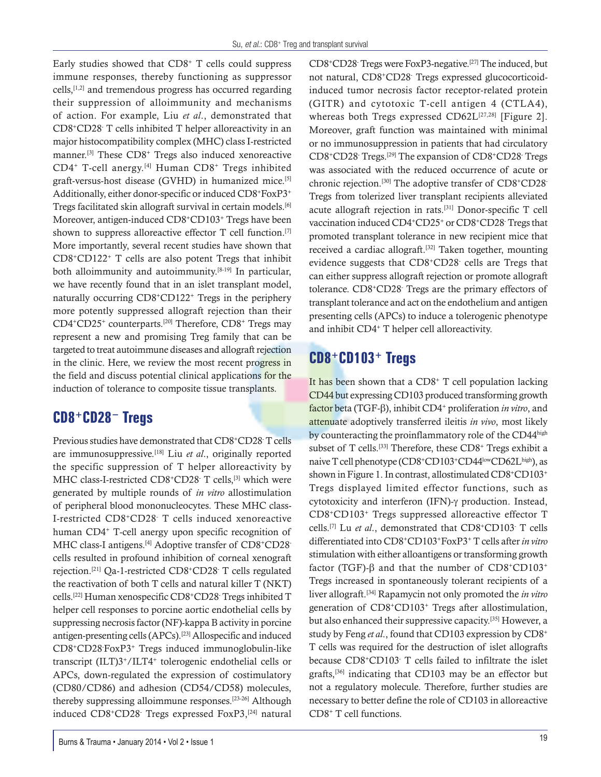Early studies showed that  $CD8<sup>+</sup>$  T cells could suppress immune responses, thereby functioning as suppressor cells,[1,2] and tremendous progress has occurred regarding their suppression of alloimmunity and mechanisms of action. For example, Liu *et al*., demonstrated that CD8+CD28- T cells inhibited T helper alloreactivity in an major histocompatibility complex (MHC) class I-restricted manner.[3] These CD8+ Tregs also induced xenoreactive CD4+ T-cell anergy.[4] Human CD8+ Tregs inhibited graft-versus-host disease (GVHD) in humanized mice.[5] Additionally, either donor-specific or induced CD8+FoxP3+ Tregs facilitated skin allograft survival in certain models.[6] Moreover, antigen-induced CD8<sup>+</sup>CD103<sup>+</sup> Tregs have been shown to suppress alloreactive effector  $T$  cell function.<sup>[7]</sup> More importantly, several recent studies have shown that CD8+CD122+ T cells are also potent Tregs that inhibit both alloimmunity and autoimmunity.[8-19] In particular, we have recently found that in an islet transplant model, naturally occurring CD8+CD122+ Tregs in the periphery more potently suppressed allograft rejection than their CD4+CD25+ counterparts.[20] Therefore, CD8+ Tregs may represent a new and promising Treg family that can be targeted to treat autoimmune diseases and allograft rejection in the clinic. Here, we review the most recent progress in the field and discuss potential clinical applications for the induction of tolerance to composite tissue transplants.

# **CD8+CD28<sup>−</sup> Tregs**

Previous studies have demonstrated that CD8+CD28<sup>-</sup>T cells are immunosuppressive.[18] Liu *et al*., originally reported the specific suppression of T helper alloreactivity by MHC class-I-restricted CD8<sup>+</sup>CD28<sup>-</sup> T cells,<sup>[3]</sup> which were generated by multiple rounds of *in vitro* allostimulation of peripheral blood mononucleocytes. These MHC class-I-restricted CD8+CD28- T cells induced xenoreactive human CD4+ T-cell anergy upon specific recognition of MHC class-I antigens.<sup>[4]</sup> Adoptive transfer of CD8+CD28cells resulted in profound inhibition of corneal xenograft rejection.[21] Qa-1-restricted CD8+CD28- T cells regulated the reactivation of both T cells and natural killer T (NKT) cells.[22] Human xenospecific CD8+CD28- Tregs inhibited T helper cell responses to porcine aortic endothelial cells by suppressing necrosis factor (NF)-kappa B activity in porcine antigen-presenting cells (APCs).[23] Allospecific and induced CD8+CD28- FoxP3+ Tregs induced immunoglobulin-like transcript (ILT)3+/ILT4+ tolerogenic endothelial cells or APCs, down-regulated the expression of costimulatory (CD80/CD86) and adhesion (CD54/CD58) molecules, thereby suppressing alloimmune responses.[23-26] Although induced CD8+CD28- Tregs expressed FoxP3,[24] natural

CD8+CD28- Tregs were FoxP3-negative.[27] The induced, but not natural, CD8+CD28- Tregs expressed glucocorticoidinduced tumor necrosis factor receptor-related protein (GITR) and cytotoxic T-cell antigen 4 (CTLA4), whereas both Tregs expressed  $CD62L^{[27,28]}$  [Figure 2]. Moreover, graft function was maintained with minimal or no immunosuppression in patients that had circulatory CD8<sup>+</sup>CD28 Tregs.<sup>[29]</sup> The expansion of CD8<sup>+</sup>CD28 Tregs was associated with the reduced occurrence of acute or chronic rejection.[30] The adoptive transfer of CD8+CD28- Tregs from tolerized liver transplant recipients alleviated acute allograft rejection in rats.[31] Donor-specific T cell vaccination induced CD4+CD25+ or CD8+CD28- Tregs that promoted transplant tolerance in new recipient mice that received a cardiac allograft.<sup>[32]</sup> Taken together, mounting evidence suggests that CD8+CD28- cells are Tregs that can either suppress allograft rejection or promote allograft tolerance. CD8+CD28- Tregs are the primary effectors of transplant tolerance and act on the endothelium and antigen presenting cells (APCs) to induce a tolerogenic phenotype and inhibit CD4+ T helper cell alloreactivity.

# **CD8+CD103+ Tregs**

It has been shown that a  $CD8<sup>+</sup>$  T cell population lacking CD44 but expressing CD103 produced transforming growth factor beta (TGF-β), inhibit CD4+ proliferation *in vitro*, and attenuate adoptively transferred ileitis *in vivo*, most likely by counteracting the proinflammatory role of the CD44high subset of T cells.<sup>[33]</sup> Therefore, these CD8<sup>+</sup> Tregs exhibit a naive T cell phenotype (CD8+CD103+CD44lowCD62Lhigh), as shown in Figure 1. In contrast, allostimulated CD8+CD103+ Tregs displayed limited effector functions, such as cytotoxicity and interferon (IFN)-γ production. Instead, CD8+CD103+ Tregs suppressed alloreactive effector T cells.[7] Lu *et al*., demonstrated that CD8+CD103- T cells differentiated into CD8+CD103+FoxP3+ T cells after *in vitro* stimulation with either alloantigens or transforming growth factor (TGF)-β and that the number of  $CD8+CD103<sup>+</sup>$ Tregs increased in spontaneously tolerant recipients of a liver allograft.[34] Rapamycin not only promoted the *in vitro* generation of CD8+CD103+ Tregs after allostimulation, but also enhanced their suppressive capacity.[35] However, a study by Feng *et al*., found that CD103 expression by CD8+ T cells was required for the destruction of islet allografts because CD8+CD103- T cells failed to infiltrate the islet grafts,[36] indicating that CD103 may be an effector but not a regulatory molecule. Therefore, further studies are necessary to better define the role of CD103 in alloreactive CD8+ T cell functions.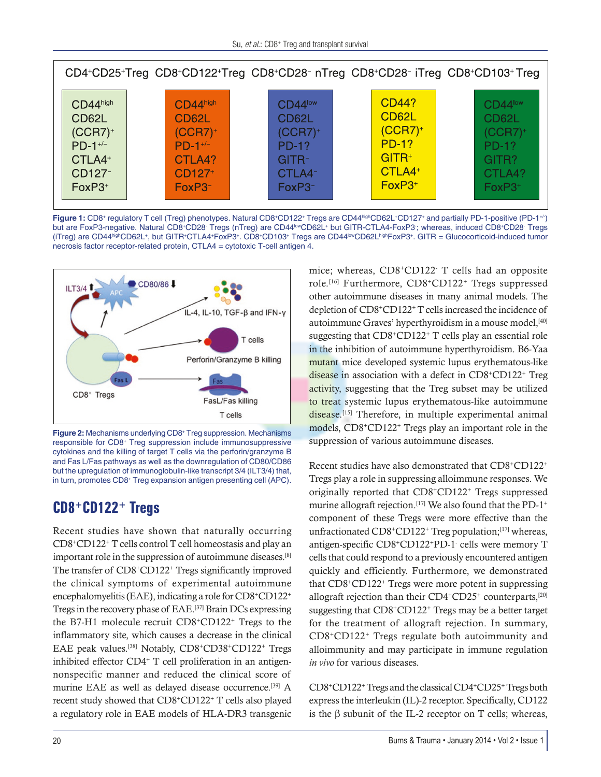| CD4+CD25+Treg CD8+CD122+Treg CD8+CD28- nTreg CD8+CD28- iTreg CD8+CD103+ Treg |                    |                     |                    |            |  |
|------------------------------------------------------------------------------|--------------------|---------------------|--------------------|------------|--|
| CD44high                                                                     | CD44high           | $CD44^{\text{low}}$ | CD44?              | $CD44$ low |  |
| CD62L                                                                        | CD62L              | CD62L               | CD62L              | CD62L      |  |
| $(CCR7)^+$                                                                   | $(CCR7)^+$         | $(CCR7)^+$          | $(CCR7)^+$         | $(CCR7)^+$ |  |
| $PD-1$ <sup>+/-</sup>                                                        | $PD-1+/-$          | <b>PD-1?</b>        | <b>PD-1?</b>       | $PD-1?$    |  |
| CTLA4+                                                                       | CTLA4?             | GITR-               | $GITR+$            | GITR?      |  |
| CD127-                                                                       | CD127 <sup>+</sup> | CTLA4-              | CTLA4 <sup>+</sup> | CTLA4?     |  |
| $FoxP3+$                                                                     | $FoxP3^-$          | FoxP3-              | $FoxP3+$           | $FoxP3+$   |  |

Figure 1: CD8<sup>+</sup> regulatory T cell (Treg) phenotypes. Natural CD8+CD122+ Tregs are CD44highCD62L+CD127+ and partially PD-1-positive (PD-1<sup>+/-</sup>) but are FoxP3-negative. Natural CD8+CD28 Tregs (nTreg) are CD44<sup>low</sup>CD62L+ but GITR-CTLA4-FoxP3; whereas, induced CD8+CD28 Tregs (iTreg) are CD44<sup>high</sup>CD62L+, but GITR+CTLA4+FoxP3+. CD8+CD103+ Tregs are CD44<sup>low</sup>CD62LhighFoxP3+. GITR = Glucocorticoid-induced tumor necrosis factor receptor-related protein, CTLA4 = cytotoxic T-cell antigen 4.



Figure 2: Mechanisms underlying CD8<sup>+</sup> Treg suppression. Mechanisms responsible for CD8+ Treg suppression include immunosuppressive cytokines and the killing of target T cells via the perforin/granzyme B and Fas L/Fas pathways as well as the downregulation of CD80/CD86 but the upregulation of immunoglobulin-like transcript 3/4 (ILT3/4) that, in turn, promotes CD8+ Treg expansion antigen presenting cell (APC).

## **CD8+CD122+ Tregs**

Recent studies have shown that naturally occurring CD8+CD122+ T cells control T cell homeostasis and play an important role in the suppression of autoimmune diseases.[8] The transfer of CD8<sup>+</sup>CD122<sup>+</sup> Tregs significantly improved the clinical symptoms of experimental autoimmune encephalomyelitis (EAE), indicating a role for CD8+CD122+ Tregs in the recovery phase of EAE.[37] Brain DCs expressing the B7-H1 molecule recruit CD8+CD122+ Tregs to the inflammatory site, which causes a decrease in the clinical EAE peak values.[38] Notably, CD8+CD38+CD122+ Tregs inhibited effector CD4<sup>+</sup> T cell proliferation in an antigennonspecific manner and reduced the clinical score of murine EAE as well as delayed disease occurrence.<sup>[39]</sup> A recent study showed that CD8+CD122+ T cells also played a regulatory role in EAE models of HLA-DR3 transgenic

mice; whereas, CD8+CD122- T cells had an opposite role.[16] Furthermore, CD8+CD122+ Tregs suppressed other autoimmune diseases in many animal models. The depletion of CD8+CD122+ T cells increased the incidence of autoimmune Graves' hyperthyroidism in a mouse model,<sup>[40]</sup> suggesting that CD8+CD122+ T cells play an essential role in the inhibition of autoimmune hyperthyroidism. B6-Yaa mutant mice developed systemic lupus erythematous-like disease in association with a defect in CD8+CD122+ Treg activity, suggesting that the Treg subset may be utilized to treat systemic lupus erythematous-like autoimmune disease.<sup>[15]</sup> Therefore, in multiple experimental animal models, CD8+CD122+ Tregs play an important role in the suppression of various autoimmune diseases.

Recent studies have also demonstrated that CD8+CD122+ Tregs play a role in suppressing alloimmune responses. We originally reported that CD8+CD122+ Tregs suppressed murine allograft rejection.<sup>[17]</sup> We also found that the PD-1<sup>+</sup> component of these Tregs were more effective than the unfractionated CD8+CD122+ Treg population;[17] whereas, antigen-specific CD8+CD122+PD-1- cells were memory T cells that could respond to a previously encountered antigen quickly and efficiently. Furthermore, we demonstrated that CD8+CD122+ Tregs were more potent in suppressing allograft rejection than their  $CD4$ <sup>+</sup>CD25<sup>+</sup> counterparts,<sup>[20]</sup> suggesting that CD8+CD122+ Tregs may be a better target for the treatment of allograft rejection. In summary, CD8+CD122+ Tregs regulate both autoimmunity and alloimmunity and may participate in immune regulation *in vivo* for various diseases.

CD8+CD122+ Tregs and the classical CD4+CD25+ Tregs both express the interleukin (IL)-2 receptor. Specifically, CD122 is the β subunit of the IL-2 receptor on T cells; whereas,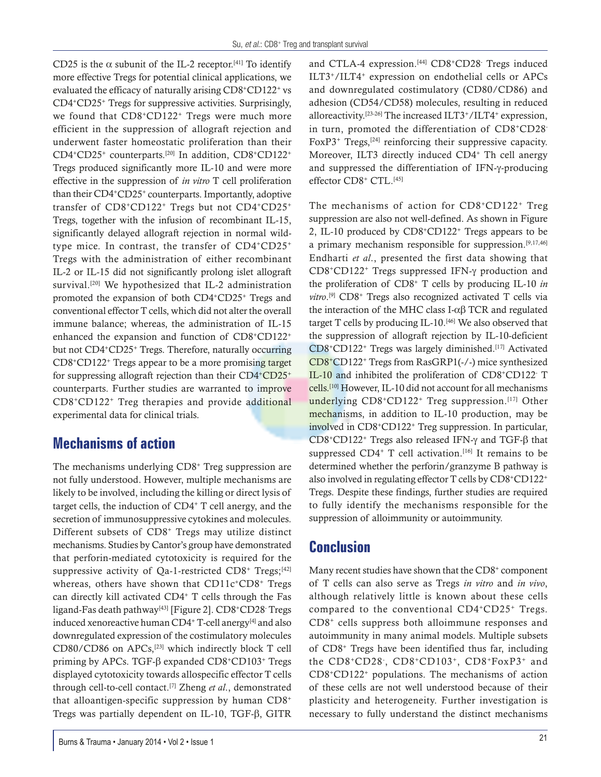CD25 is the  $\alpha$  subunit of the IL-2 receptor.<sup>[41]</sup> To identify more effective Tregs for potential clinical applications, we evaluated the efficacy of naturally arising CD8+CD122+ vs CD4+CD25+ Tregs for suppressive activities. Surprisingly, we found that CD8<sup>+</sup>CD122<sup>+</sup> Tregs were much more efficient in the suppression of allograft rejection and underwent faster homeostatic proliferation than their CD4+CD25+ counterparts.[20] In addition, CD8+CD122+ Tregs produced significantly more IL-10 and were more effective in the suppression of *in vitro* T cell proliferation than their CD4+CD25+ counterparts. Importantly, adoptive transfer of CD8+CD122+ Tregs but not CD4+CD25+ Tregs, together with the infusion of recombinant IL-15, significantly delayed allograft rejection in normal wildtype mice. In contrast, the transfer of CD4+CD25+ Tregs with the administration of either recombinant IL-2 or IL-15 did not significantly prolong islet allograft survival.<sup>[20]</sup> We hypothesized that IL-2 administration promoted the expansion of both CD4+CD25+ Tregs and conventional effector T cells, which did not alter the overall immune balance; whereas, the administration of IL-15 enhanced the expansion and function of CD8+CD122+ but not CD4+CD25+ Tregs. Therefore, naturally occurring CD8+CD122+ Tregs appear to be a more promising target for suppressing allograft rejection than their CD4+CD25+ counterparts. Further studies are warranted to improve CD8+CD122+ Treg therapies and provide additional experimental data for clinical trials.

## **Mechanisms of action**

The mechanisms underlying CD8+ Treg suppression are not fully understood. However, multiple mechanisms are likely to be involved, including the killing or direct lysis of target cells, the induction of  $CD4+T$  cell anergy, and the secretion of immunosuppressive cytokines and molecules. Different subsets of CD8+ Tregs may utilize distinct mechanisms. Studies by Cantor's group have demonstrated that perforin-mediated cytotoxicity is required for the suppressive activity of  $Qa-1$ -restricted  $CD8^+$  Tregs;<sup>[42]</sup> whereas, others have shown that  $CD11c^+CD8^+$  Tregs can directly kill activated CD4+ T cells through the Fas ligand-Fas death pathway<sup>[43]</sup> [Figure 2]. CD8+CD28<sup>-</sup> Tregs induced xenoreactive human CD4+ T-cell anergy<sup>[4]</sup> and also downregulated expression of the costimulatory molecules CD80/CD86 on APCs,[23] which indirectly block T cell priming by APCs. TGF-β expanded CD8+CD103+ Tregs displayed cytotoxicity towards allospecific effector T cells through cell-to-cell contact.[7] Zheng *et al*., demonstrated that alloantigen-specific suppression by human CD8+ Tregs was partially dependent on IL-10, TGF-β, GITR

and CTLA-4 expression.<sup>[44]</sup> CD8<sup>+</sup>CD28<sup>-</sup> Tregs induced ILT3+/ILT4+ expression on endothelial cells or APCs and downregulated costimulatory (CD80/CD86) and adhesion (CD54/CD58) molecules, resulting in reduced alloreactivity.[23-26] The increased ILT3+/ILT4+ expression, in turn, promoted the differentiation of CD8+CD28- FoxP3<sup>+</sup> Tregs,<sup>[24]</sup> reinforcing their suppressive capacity. Moreover, ILT3 directly induced CD4<sup>+</sup> Th cell anergy and suppressed the differentiation of IFN-γ-producing effector CD8<sup>+</sup> CTL.<sup>[45]</sup>

The mechanisms of action for CD8+CD122+ Treg suppression are also not well-defined. As shown in Figure 2, IL-10 produced by CD8+CD122+ Tregs appears to be a primary mechanism responsible for suppression.[9,17,46] Endharti *et al*., presented the first data showing that CD8+CD122+ Tregs suppressed IFN-γ production and the proliferation of CD8+ T cells by producing IL-10 *in*  vitro.<sup>[9]</sup> CD8<sup>+</sup> Tregs also recognized activated T cells via the interaction of the MHC class I-αβ TCR and regulated target T cells by producing IL-10.[46] We also observed that the suppression of allograft rejection by IL-10-deficient CD8+CD122+ Tregs was largely diminished.[17] Activated CD8+CD122+ Tregs from RasGRP1(-/-) mice synthesized IL-10 and inhibited the proliferation of CD8+CD122 T cells.[10] However, IL-10 did not account for all mechanisms underlying CD8+CD122+ Treg suppression.<sup>[17]</sup> Other mechanisms, in addition to IL-10 production, may be involved in CD8+CD122+ Treg suppression. In particular, CD8+CD122+ Tregs also released IFN-γ and TGF-β that suppressed  $CD4^+$  T cell activation.<sup>[16]</sup> It remains to be determined whether the perforin/granzyme B pathway is also involved in regulating effector T cells by CD8+CD122+ Tregs. Despite these findings, further studies are required to fully identify the mechanisms responsible for the suppression of alloimmunity or autoimmunity.

## **Conclusion**

Many recent studies have shown that the CD8<sup>+</sup> component of T cells can also serve as Tregs *in vitro* and *in vivo*, although relatively little is known about these cells compared to the conventional CD4+CD25+ Tregs. CD8+ cells suppress both alloimmune responses and autoimmunity in many animal models. Multiple subsets of CD8+ Tregs have been identified thus far, including the CD8+CD28- , CD8+CD103+, CD8+FoxP3+ and CD8+CD122+ populations. The mechanisms of action of these cells are not well understood because of their plasticity and heterogeneity. Further investigation is necessary to fully understand the distinct mechanisms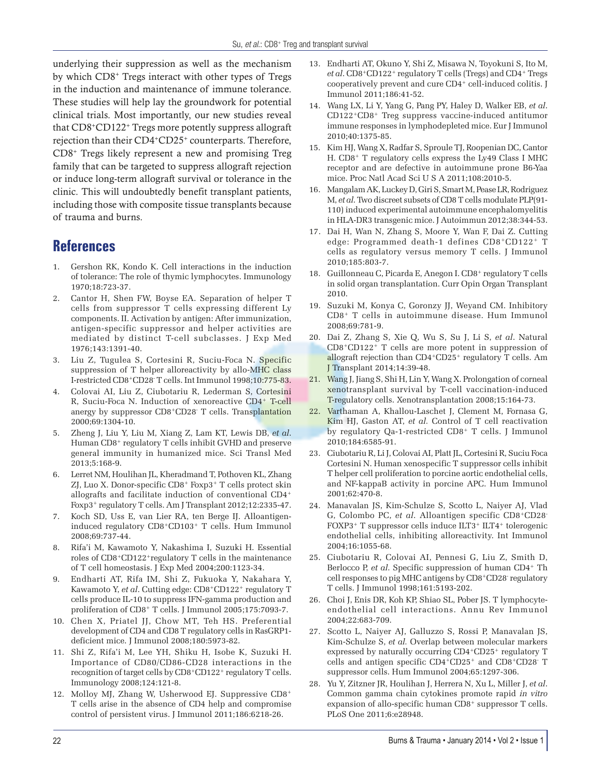underlying their suppression as well as the mechanism by which CD8+ Tregs interact with other types of Tregs in the induction and maintenance of immune tolerance. These studies will help lay the groundwork for potential clinical trials. Most importantly, our new studies reveal that CD8+CD122+ Tregs more potently suppress allograft rejection than their CD4+CD25+ counterparts. Therefore, CD8+ Tregs likely represent a new and promising Treg family that can be targeted to suppress allograft rejection or induce long-term allograft survival or tolerance in the clinic. This will undoubtedly benefit transplant patients, including those with composite tissue transplants because of trauma and burns.

#### **References**

- 1. Gershon RK, Kondo K. Cell interactions in the induction of tolerance: The role of thymic lymphocytes. Immunology 1970;18:723-37.
- 2. Cantor H, Shen FW, Boyse EA. Separation of helper T cells from suppressor T cells expressing different Ly components. II. Activation by antigen: After immunization, antigen-specific suppressor and helper activities are mediated by distinct T-cell subclasses. J Exp Med 1976;143:1391-40.
- 3. Liu Z, Tugulea S, Cortesini R, Suciu-Foca N. Specific suppression of T helper alloreactivity by allo-MHC class I-restricted CD8+CD28- T cells. Int Immunol 1998;10:775-83.
- 4. Colovai AI, Liu Z, Ciubotariu R, Lederman S, Cortesini R, Suciu-Foca N. Induction of xenoreactive CD4+ T-cell anergy by suppressor CD8<sup>+</sup>CD28<sup>-</sup> T cells. Transplantation 2000;69:1304-10.
- 5. Zheng J, Liu Y, Liu M, Xiang Z, Lam KT, Lewis DB, *et al*. Human CD8<sup>+</sup> regulatory T cells inhibit GVHD and preserve general immunity in humanized mice. Sci Transl Med 2013;5:168-9.
- 6. Lerret NM, Houlihan JL, Kheradmand T, Pothoven KL, Zhang ZJ, Luo X. Donor-specific CD8+ Foxp3+ T cells protect skin allografts and facilitate induction of conventional CD4+ Foxp3+ regulatory T cells. Am J Transplant 2012;12:2335-47.
- 7. Koch SD, Uss E, van Lier RA, ten Berge IJ. Alloantigeninduced regulatory CD8+CD103+ T cells. Hum Immunol 2008;69:737-44.
- 8. Rifa'i M, Kawamoto Y, Nakashima I, Suzuki H. Essential roles of CD8+CD122+regulatory T cells in the maintenance of T cell homeostasis. J Exp Med 2004;200:1123-34.
- 9. Endharti AT, Rifa IM, Shi Z, Fukuoka Y, Nakahara Y, Kawamoto Y, *et al.* Cutting edge: CD8+CD122+ regulatory T cells produce IL-10 to suppress IFN-gamma production and proliferation of CD8+ T cells. J Immunol 2005;175:7093-7.
- 10. Chen X, Priatel JJ, Chow MT, Teh HS. Preferential development of CD4 and CD8 T regulatory cells in RasGRP1 deficient mice. J Immunol 2008;180:5973-82.
- 11. Shi Z, Rifa'i M, Lee YH, Shiku H, Isobe K, Suzuki H. Importance of CD80/CD86-CD28 interactions in the recognition of target cells by CD8+CD122+ regulatory T cells. Immunology 2008;124:121-8.
- 12. Molloy MJ, Zhang W, Usherwood EJ. Suppressive CD8+ T cells arise in the absence of CD4 help and compromise control of persistent virus. J Immunol 2011;186:6218-26.
- 13. Endharti AT, Okuno Y, Shi Z, Misawa N, Toyokuni S, Ito M, *et al*. CD8+CD122+ regulatory T cells (Tregs) and CD4+ Tregs cooperatively prevent and cure CD4+ cell-induced colitis. J Immunol 2011;186:41-52.
- 14. Wang LX, Li Y, Yang G, Pang PY, Haley D, Walker EB, *et al*. CD122+CD8+ Treg suppress vaccine-induced antitumor immune responses in lymphodepleted mice. Eur J Immunol 2010;40:1375-85.
- 15. Kim HJ, Wang X, Radfar S, Sproule TJ, Roopenian DC, Cantor H. CD8+ T regulatory cells express the Ly49 Class I MHC receptor and are defective in autoimmune prone B6-Yaa mice. Proc Natl Acad Sci U S A 2011;108:2010-5.
- 16. Mangalam AK, Luckey D, Giri S, Smart M, Pease LR, Rodriguez M, *et al*. Two discreet subsets of CD8 T cells modulate PLP(91- 110) induced experimental autoimmune encephalomyelitis in HLA-DR3 transgenic mice. J Autoimmun 2012;38:344-53.
- 17. Dai H, Wan N, Zhang S, Moore Y, Wan F, Dai Z. Cutting edge: Programmed death-1 defines CD8+CD122+ T cells as regulatory versus memory T cells. J Immunol 2010;185:803-7.
- 18. Guillonneau C, Picarda E, Anegon I. CD8<sup>+</sup> regulatory T cells in solid organ transplantation. Curr Opin Organ Transplant 2010.
- 19. Suzuki M, Konya C, Goronzy JJ, Weyand CM. Inhibitory CD8+ T cells in autoimmune disease. Hum Immunol 2008;69:781-9.
- 20. Dai Z, Zhang S, Xie Q, Wu S, Su J, Li S, *et al*. Natural CD8+CD122+ T cells are more potent in suppression of allograft rejection than CD4+CD25+ regulatory T cells. Am J Transplant 2014;14:39-48.
- 21. Wang J, Jiang S, Shi H, Lin Y, Wang X. Prolongation of corneal xenotransplant survival by T-cell vaccination-induced T-regulatory cells. Xenotransplantation 2008;15:164-73.
- 22. Varthaman A, Khallou-Laschet J, Clement M, Fornasa G, Kim HJ, Gaston AT, *et al.* Control of T cell reactivation by regulatory Qa-1-restricted CD8+ T cells. J Immunol 2010;184:6585-91.
- 23. Ciubotariu R, Li J, Colovai AI, Platt JL, Cortesini R, Suciu Foca Cortesini N. Human xenospecific T suppressor cells inhibit T helper cell proliferation to porcine aortic endothelial cells, and NF-kappaB activity in porcine APC. Hum Immunol 2001;62:470-8.
- 24. Manavalan JS, Kim-Schulze S, Scotto L, Naiyer AJ, Vlad G, Colombo PC, *et al*. Alloantigen specific CD8+CD28- FOXP3+ T suppressor cells induce ILT3+ ILT4+ tolerogenic endothelial cells, inhibiting alloreactivity. Int Immunol 2004;16:1055-68.
- 25. Ciubotariu R, Colovai AI, Pennesi G, Liu Z, Smith D, Berlocco P, *et al.* Specific suppression of human CD4<sup>+</sup> Th cell responses to pig MHC antigens by CD8+CD28- regulatory T cells. J Immunol 1998;161:5193-202.
- 26. Choi J, Enis DR, Koh KP, Shiao SL, Pober JS. T lymphocyteendothelial cell interactions. Annu Rev Immunol 2004;22:683-709.
- 27. Scotto L, Naiyer AJ, Galluzzo S, Rossi P, Manavalan JS, Kim-Schulze S, *et al.* Overlap between molecular markers expressed by naturally occurring CD4+CD25+ regulatory T cells and antigen specific CD4+CD25+ and CD8+CD28- T suppressor cells. Hum Immunol 2004;65:1297-306.
- 28. Yu Y, Zitzner JR, Houlihan J, Herrera N, Xu L, Miller J, *et al*. Common gamma chain cytokines promote rapid *in vitro*  expansion of allo-specific human CD8<sup>+</sup> suppressor T cells. PLoS One 2011;6:e28948.